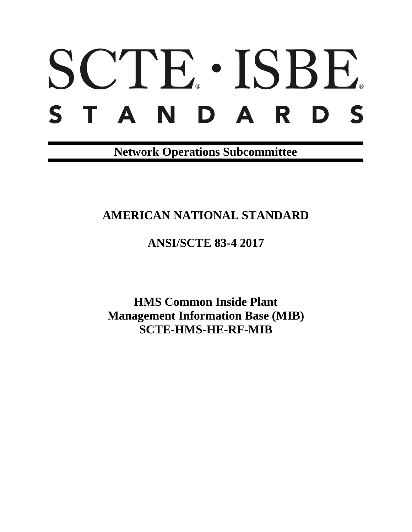# SCTE. ISBE. S T A N D A R D S

**Network Operations Subcommittee**

## **AMERICAN NATIONAL STANDARD**

**ANSI/SCTE 83-4 2017**

**HMS Common Inside Plant Management Information Base (MIB) SCTE-HMS-HE-RF-MIB**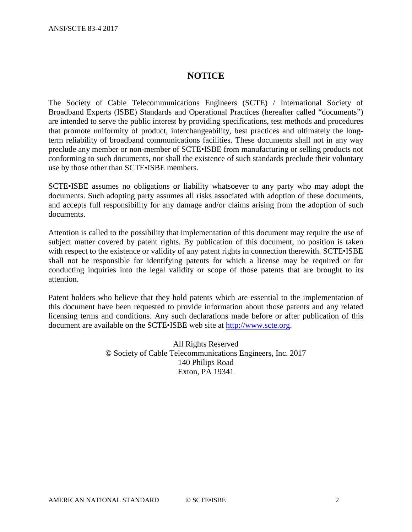#### **NOTICE**

The Society of Cable Telecommunications Engineers (SCTE) / International Society of Broadband Experts (ISBE) Standards and Operational Practices (hereafter called "documents") are intended to serve the public interest by providing specifications, test methods and procedures that promote uniformity of product, interchangeability, best practices and ultimately the longterm reliability of broadband communications facilities. These documents shall not in any way preclude any member or non-member of SCTE•ISBE from manufacturing or selling products not conforming to such documents, nor shall the existence of such standards preclude their voluntary use by those other than SCTE•ISBE members.

SCTE•ISBE assumes no obligations or liability whatsoever to any party who may adopt the documents. Such adopting party assumes all risks associated with adoption of these documents, and accepts full responsibility for any damage and/or claims arising from the adoption of such documents.

Attention is called to the possibility that implementation of this document may require the use of subject matter covered by patent rights. By publication of this document, no position is taken with respect to the existence or validity of any patent rights in connection therewith. SCTE•ISBE shall not be responsible for identifying patents for which a license may be required or for conducting inquiries into the legal validity or scope of those patents that are brought to its attention.

Patent holders who believe that they hold patents which are essential to the implementation of this document have been requested to provide information about those patents and any related licensing terms and conditions. Any such declarations made before or after publication of this document are available on the SCTE•ISBE web site at [http://www.scte.org.](http://www.scte.org/)

> All Rights Reserved © Society of Cable Telecommunications Engineers, Inc. 2017 140 Philips Road Exton, PA 19341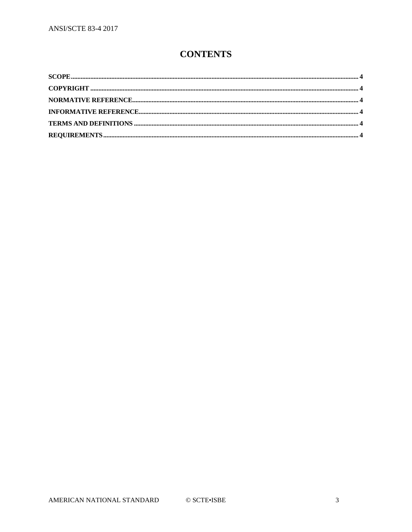### **CONTENTS**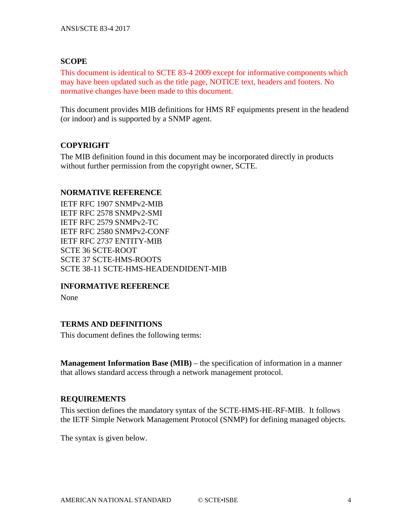#### <span id="page-3-0"></span>**SCOPE**

This document is identical to SCTE 83-4 2009 except for informative components which may have been updated such as the title page, NOTICE text, headers and footers. No normative changes have been made to this document.

This document provides MIB definitions for HMS RF equipments present in the headend (or indoor) and is supported by a SNMP agent.

#### <span id="page-3-1"></span>**COPYRIGHT**

The MIB definition found in this document may be incorporated directly in products without further permission from the copyright owner, SCTE.

#### <span id="page-3-2"></span>**NORMATIVE REFERENCE**

IETF RFC 1907 SNMPv2-MIB IETF RFC 2578 SNMPv2-SMI IETF RFC 2579 SNMPv2-TC IETF RFC 2580 SNMPv2-CONF IETF RFC 2737 ENTITY-MIB SCTE 36 SCTE-ROOT SCTE 37 SCTE-HMS-ROOTS SCTE 38-11 SCTE-HMS-HEADENDIDENT-MIB

#### <span id="page-3-3"></span>**INFORMATIVE REFERENCE**

None

#### <span id="page-3-4"></span>**TERMS AND DEFINITIONS**

This document defines the following terms:

**Management Information Base (MIB)** – the specification of information in a manner that allows standard access through a network management protocol.

#### <span id="page-3-5"></span>**REQUIREMENTS**

This section defines the mandatory syntax of the SCTE-HMS-HE-RF-MIB. It follows the IETF Simple Network Management Protocol (SNMP) for defining managed objects.

The syntax is given below.